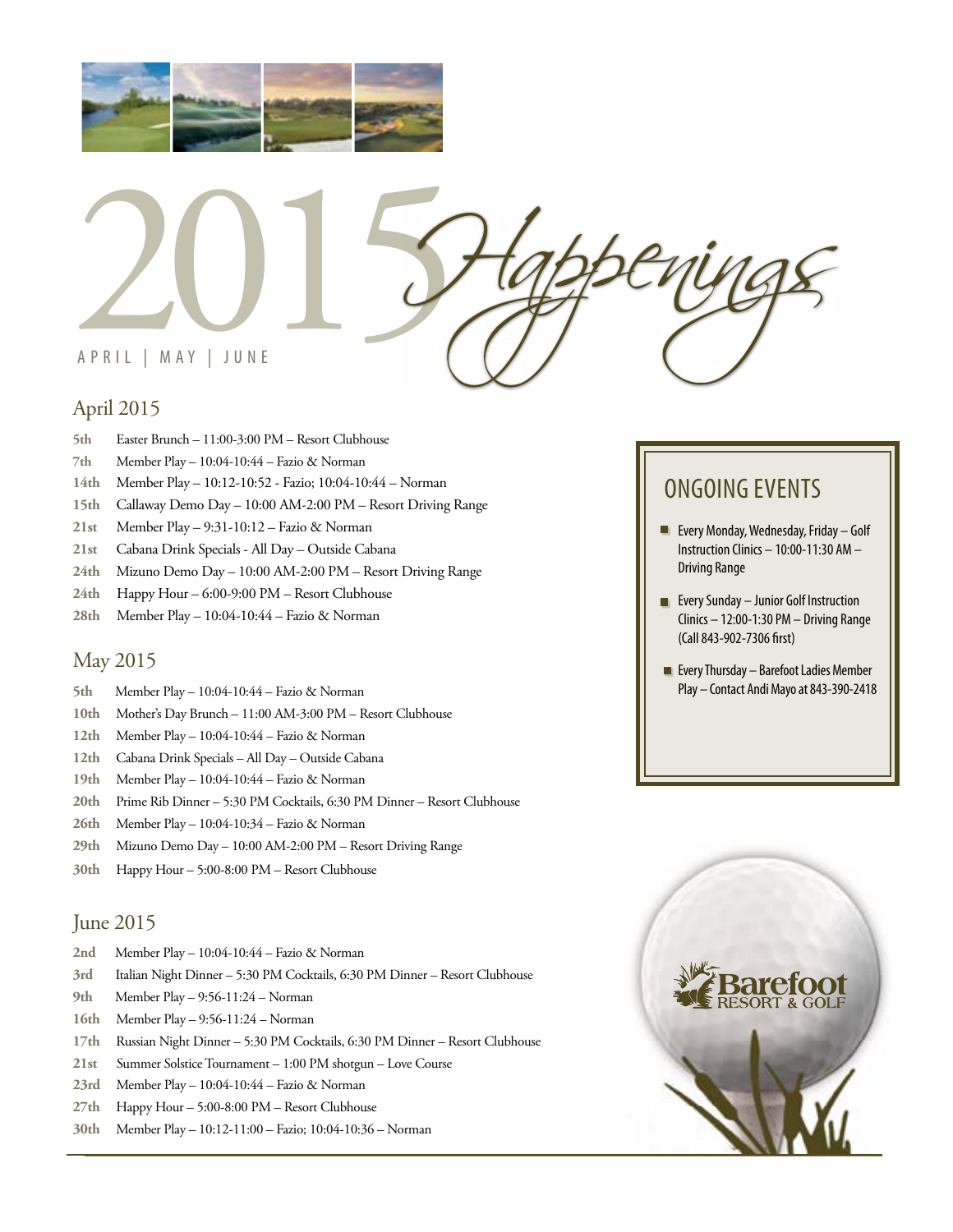



## April 2015

- **5th** Easter Brunch 11:00-3:00 PM Resort Clubhouse
- **7th** Member Play 10:04-10:44 Fazio & Norman
- **14th** Member Play 10:12-10:52 Fazio; 10:04-10:44 Norman
- **15th** Callaway Demo Day 10:00 AM-2:00 PM Resort Driving Range
- **21st** Member Play 9:31-10:12 Fazio & Norman
- **21st** Cabana Drink Specials All Day Outside Cabana
- **24th** Mizuno Demo Day 10:00 AM-2:00 PM Resort Driving Range
- **24th** Happy Hour 6:00-9:00 PM Resort Clubhouse
- **28th** Member Play 10:04-10:44 Fazio & Norman

#### May 2015

- **5th** Member Play 10:04-10:44 Fazio & Norman
- **10th** Mother's Day Brunch 11:00 AM-3:00 PM Resort Clubhouse
- **12th** Member Play 10:04-10:44 Fazio & Norman
- **12th** Cabana Drink Specials All Day Outside Cabana
- **19th** Member Play 10:04-10:44 Fazio & Norman
- **20th** Prime Rib Dinner 5:30 PM Cocktails, 6:30 PM Dinner Resort Clubhouse
- **26th** Member Play 10:04-10:34 Fazio & Norman
- **29th** Mizuno Demo Day 10:00 AM-2:00 PM Resort Driving Range
- **30th** Happy Hour 5:00-8:00 PM Resort Clubhouse

### June 2015

- **2nd** Member Play 10:04-10:44 Fazio & Norman
- **3rd** Italian Night Dinner 5:30 PM Cocktails, 6:30 PM Dinner Resort Clubhouse
- **9th** Member Play 9:56-11:24 Norman
- **16th** Member Play 9:56-11:24 Norman
- **17th** Russian Night Dinner 5:30 PM Cocktails, 6:30 PM Dinner Resort Clubhouse
- **21st** Summer Solstice Tournament 1:00 PM shotgun Love Course
- **23rd** Member Play 10:04-10:44 Fazio & Norman
- **27th** Happy Hour 5:00-8:00 PM Resort Clubhouse
- **30th** Member Play 10:12-11:00 Fazio; 10:04-10:36 Norman

# ONGOING EVENTS

- **Every Monday, Wednesday, Friday Golf** Instruction Clinics – 10:00-11:30 AM – Driving Range
- **EVERY Sunday Junior Golf Instruction** Clinics – 12:00-1:30 PM – Driving Range (Call 843-902-7306 first)
- **Every Thursday Barefoot Ladies Member** Play – Contact Andi Mayo at 843-390-2418